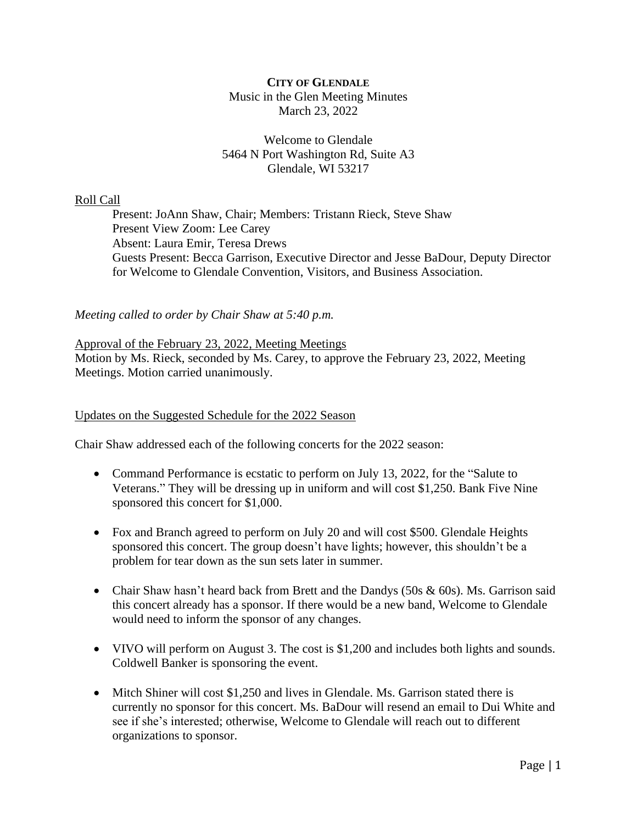# **CITY OF GLENDALE** Music in the Glen Meeting Minutes March 23, 2022

## Welcome to Glendale 5464 N Port Washington Rd, Suite A3 Glendale, WI 53217

# Roll Call

Present: JoAnn Shaw, Chair; Members: Tristann Rieck, Steve Shaw Present View Zoom: Lee Carey Absent: Laura Emir, Teresa Drews Guests Present: Becca Garrison, Executive Director and Jesse BaDour, Deputy Director for Welcome to Glendale Convention, Visitors, and Business Association.

# *Meeting called to order by Chair Shaw at 5:40 p.m.*

# Approval of the February 23, 2022, Meeting Meetings

Motion by Ms. Rieck, seconded by Ms. Carey, to approve the February 23, 2022, Meeting Meetings. Motion carried unanimously.

#### Updates on the Suggested Schedule for the 2022 Season

Chair Shaw addressed each of the following concerts for the 2022 season:

- Command Performance is ecstatic to perform on July 13, 2022, for the "Salute to Veterans." They will be dressing up in uniform and will cost \$1,250. Bank Five Nine sponsored this concert for \$1,000.
- Fox and Branch agreed to perform on July 20 and will cost \$500. Glendale Heights sponsored this concert. The group doesn't have lights; however, this shouldn't be a problem for tear down as the sun sets later in summer.
- Chair Shaw hasn't heard back from Brett and the Dandys  $(50s \& 60s)$ . Ms. Garrison said this concert already has a sponsor. If there would be a new band, Welcome to Glendale would need to inform the sponsor of any changes.
- VIVO will perform on August 3. The cost is \$1,200 and includes both lights and sounds. Coldwell Banker is sponsoring the event.
- Mitch Shiner will cost \$1,250 and lives in Glendale. Ms. Garrison stated there is currently no sponsor for this concert. Ms. BaDour will resend an email to Dui White and see if she's interested; otherwise, Welcome to Glendale will reach out to different organizations to sponsor.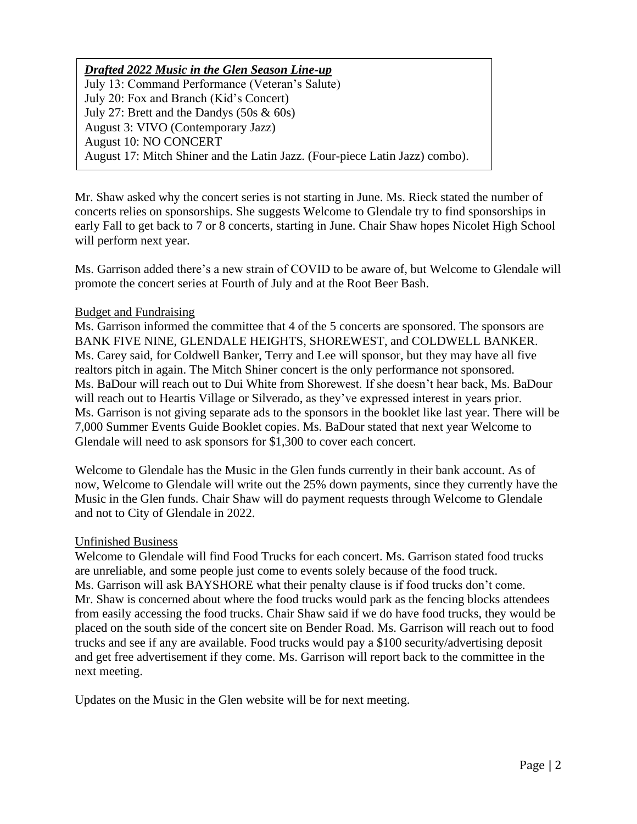# *Drafted 2022 Music in the Glen Season Line-up*

July 13: Command Performance (Veteran's Salute) July 20: Fox and Branch (Kid's Concert) July 27: Brett and the Dandys (50s & 60s) August 3: VIVO (Contemporary Jazz) August 10: NO CONCERT August 17: Mitch Shiner and the Latin Jazz. (Four-piece Latin Jazz) combo).

Mr. Shaw asked why the concert series is not starting in June. Ms. Rieck stated the number of concerts relies on sponsorships. She suggests Welcome to Glendale try to find sponsorships in early Fall to get back to 7 or 8 concerts, starting in June. Chair Shaw hopes Nicolet High School will perform next year.

Ms. Garrison added there's a new strain of COVID to be aware of, but Welcome to Glendale will promote the concert series at Fourth of July and at the Root Beer Bash.

# Budget and Fundraising

Ms. Garrison informed the committee that 4 of the 5 concerts are sponsored. The sponsors are BANK FIVE NINE, GLENDALE HEIGHTS, SHOREWEST, and COLDWELL BANKER. Ms. Carey said, for Coldwell Banker, Terry and Lee will sponsor, but they may have all five realtors pitch in again. The Mitch Shiner concert is the only performance not sponsored. Ms. BaDour will reach out to Dui White from Shorewest. If she doesn't hear back, Ms. BaDour will reach out to Heartis Village or Silverado, as they've expressed interest in years prior. Ms. Garrison is not giving separate ads to the sponsors in the booklet like last year. There will be 7,000 Summer Events Guide Booklet copies. Ms. BaDour stated that next year Welcome to Glendale will need to ask sponsors for \$1,300 to cover each concert.

Welcome to Glendale has the Music in the Glen funds currently in their bank account. As of now, Welcome to Glendale will write out the 25% down payments, since they currently have the Music in the Glen funds. Chair Shaw will do payment requests through Welcome to Glendale and not to City of Glendale in 2022.

#### Unfinished Business

Welcome to Glendale will find Food Trucks for each concert. Ms. Garrison stated food trucks are unreliable, and some people just come to events solely because of the food truck. Ms. Garrison will ask BAYSHORE what their penalty clause is if food trucks don't come. Mr. Shaw is concerned about where the food trucks would park as the fencing blocks attendees from easily accessing the food trucks. Chair Shaw said if we do have food trucks, they would be placed on the south side of the concert site on Bender Road. Ms. Garrison will reach out to food trucks and see if any are available. Food trucks would pay a \$100 security/advertising deposit and get free advertisement if they come. Ms. Garrison will report back to the committee in the next meeting.

Updates on the Music in the Glen website will be for next meeting.